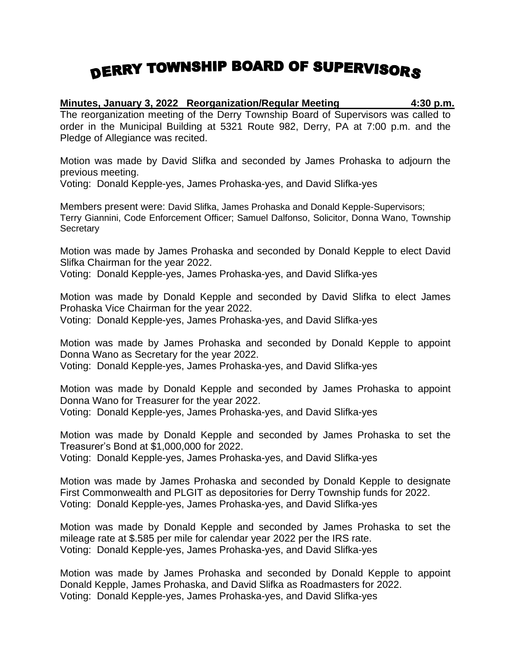## DERRY TOWNSHIP BOARD OF SUPERVISORS

**Minutes, January 3, 2022 Reorganization/Regular Meeting 4:30 p.m.** The reorganization meeting of the Derry Township Board of Supervisors was called to order in the Municipal Building at 5321 Route 982, Derry, PA at 7:00 p.m. and the Pledge of Allegiance was recited.

Motion was made by David Slifka and seconded by James Prohaska to adjourn the previous meeting.

Voting: Donald Kepple-yes, James Prohaska-yes, and David Slifka-yes

Members present were: David Slifka, James Prohaska and Donald Kepple-Supervisors; Terry Giannini, Code Enforcement Officer; Samuel Dalfonso, Solicitor, Donna Wano, Township **Secretary** 

Motion was made by James Prohaska and seconded by Donald Kepple to elect David Slifka Chairman for the year 2022.

Voting: Donald Kepple-yes, James Prohaska-yes, and David Slifka-yes

Motion was made by Donald Kepple and seconded by David Slifka to elect James Prohaska Vice Chairman for the year 2022.

Voting: Donald Kepple-yes, James Prohaska-yes, and David Slifka-yes

Motion was made by James Prohaska and seconded by Donald Kepple to appoint Donna Wano as Secretary for the year 2022.

Voting: Donald Kepple-yes, James Prohaska-yes, and David Slifka-yes

Motion was made by Donald Kepple and seconded by James Prohaska to appoint Donna Wano for Treasurer for the year 2022. Voting: Donald Kepple-yes, James Prohaska-yes, and David Slifka-yes

Motion was made by Donald Kepple and seconded by James Prohaska to set the Treasurer's Bond at \$1,000,000 for 2022.

Voting: Donald Kepple-yes, James Prohaska-yes, and David Slifka-yes

Motion was made by James Prohaska and seconded by Donald Kepple to designate First Commonwealth and PLGIT as depositories for Derry Township funds for 2022. Voting: Donald Kepple-yes, James Prohaska-yes, and David Slifka-yes

Motion was made by Donald Kepple and seconded by James Prohaska to set the mileage rate at \$.585 per mile for calendar year 2022 per the IRS rate. Voting: Donald Kepple-yes, James Prohaska-yes, and David Slifka-yes

Motion was made by James Prohaska and seconded by Donald Kepple to appoint Donald Kepple, James Prohaska, and David Slifka as Roadmasters for 2022. Voting: Donald Kepple-yes, James Prohaska-yes, and David Slifka-yes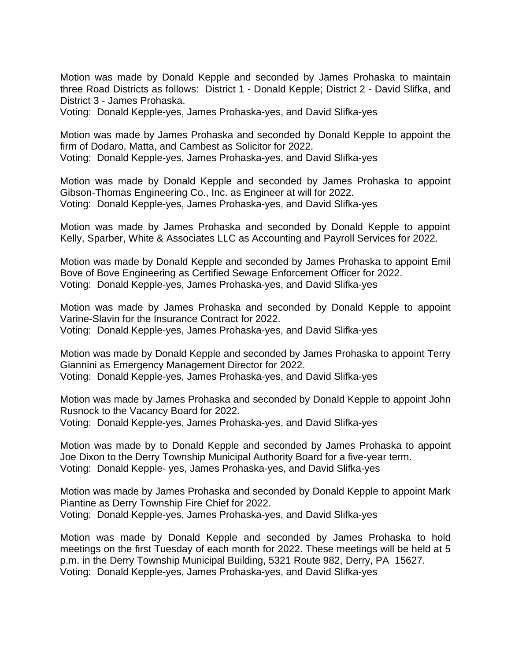Motion was made by Donald Kepple and seconded by James Prohaska to maintain three Road Districts as follows: District 1 - Donald Kepple; District 2 - David Slifka, and District 3 - James Prohaska.

Voting: Donald Kepple-yes, James Prohaska-yes, and David Slifka-yes

Motion was made by James Prohaska and seconded by Donald Kepple to appoint the firm of Dodaro, Matta, and Cambest as Solicitor for 2022. Voting: Donald Kepple-yes, James Prohaska-yes, and David Slifka-yes

Motion was made by Donald Kepple and seconded by James Prohaska to appoint Gibson-Thomas Engineering Co., Inc. as Engineer at will for 2022. Voting: Donald Kepple-yes, James Prohaska-yes, and David Slifka-yes

Motion was made by James Prohaska and seconded by Donald Kepple to appoint Kelly, Sparber, White & Associates LLC as Accounting and Payroll Services for 2022.

Motion was made by Donald Kepple and seconded by James Prohaska to appoint Emil Bove of Bove Engineering as Certified Sewage Enforcement Officer for 2022. Voting: Donald Kepple-yes, James Prohaska-yes, and David Slifka-yes

Motion was made by James Prohaska and seconded by Donald Kepple to appoint Varine-Slavin for the Insurance Contract for 2022. Voting: Donald Kepple-yes, James Prohaska-yes, and David Slifka-yes

Motion was made by Donald Kepple and seconded by James Prohaska to appoint Terry Giannini as Emergency Management Director for 2022. Voting: Donald Kepple-yes, James Prohaska-yes, and David Slifka-yes

Motion was made by James Prohaska and seconded by Donald Kepple to appoint John Rusnock to the Vacancy Board for 2022.

Voting: Donald Kepple-yes, James Prohaska-yes, and David Slifka-yes

Motion was made by to Donald Kepple and seconded by James Prohaska to appoint Joe Dixon to the Derry Township Municipal Authority Board for a five-year term. Voting: Donald Kepple- yes, James Prohaska-yes, and David Slifka-yes

Motion was made by James Prohaska and seconded by Donald Kepple to appoint Mark Piantine as Derry Township Fire Chief for 2022. Voting: Donald Kepple-yes, James Prohaska-yes, and David Slifka-yes

Motion was made by Donald Kepple and seconded by James Prohaska to hold meetings on the first Tuesday of each month for 2022. These meetings will be held at 5 p.m. in the Derry Township Municipal Building, 5321 Route 982, Derry, PA 15627. Voting: Donald Kepple-yes, James Prohaska-yes, and David Slifka-yes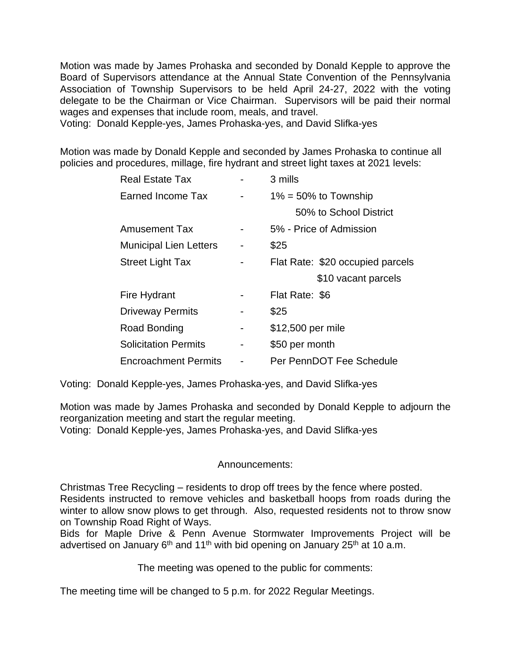Motion was made by James Prohaska and seconded by Donald Kepple to approve the Board of Supervisors attendance at the Annual State Convention of the Pennsylvania Association of Township Supervisors to be held April 24-27, 2022 with the voting delegate to be the Chairman or Vice Chairman. Supervisors will be paid their normal wages and expenses that include room, meals, and travel.

Voting: Donald Kepple-yes, James Prohaska-yes, and David Slifka-yes

Motion was made by Donald Kepple and seconded by James Prohaska to continue all policies and procedures, millage, fire hydrant and street light taxes at 2021 levels:

| Real Estate Tax               |   | 3 mills                          |
|-------------------------------|---|----------------------------------|
| Earned Income Tax             |   | $1\% = 50\%$ to Township         |
|                               |   | 50% to School District           |
| <b>Amusement Tax</b>          |   | 5% - Price of Admission          |
| <b>Municipal Lien Letters</b> |   | \$25                             |
| <b>Street Light Tax</b>       |   | Flat Rate: \$20 occupied parcels |
|                               |   | \$10 vacant parcels              |
| Fire Hydrant                  |   | Flat Rate: \$6                   |
| <b>Driveway Permits</b>       |   | \$25                             |
| Road Bonding                  | - | \$12,500 per mile                |
| <b>Solicitation Permits</b>   | - | \$50 per month                   |
|                               |   |                                  |

Voting: Donald Kepple-yes, James Prohaska-yes, and David Slifka-yes

Motion was made by James Prohaska and seconded by Donald Kepple to adjourn the reorganization meeting and start the regular meeting.

Voting: Donald Kepple-yes, James Prohaska-yes, and David Slifka-yes

## Announcements:

Christmas Tree Recycling – residents to drop off trees by the fence where posted. Residents instructed to remove vehicles and basketball hoops from roads during the winter to allow snow plows to get through. Also, requested residents not to throw snow on Township Road Right of Ways.

Bids for Maple Drive & Penn Avenue Stormwater Improvements Project will be advertised on January 6<sup>th</sup> and 11<sup>th</sup> with bid opening on January 25<sup>th</sup> at 10 a.m.

The meeting was opened to the public for comments:

The meeting time will be changed to 5 p.m. for 2022 Regular Meetings.